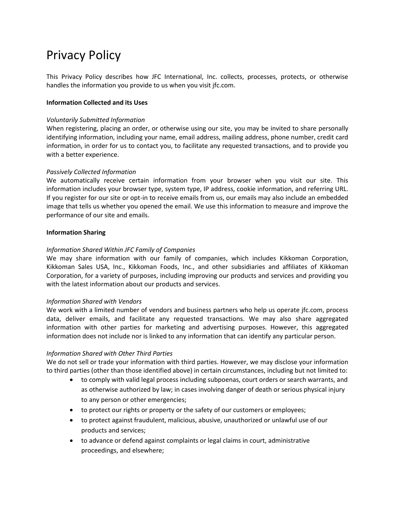# Privacy Policy

This Privacy Policy describes how JFC International, Inc. collects, processes, protects, or otherwise handles the information you provide to us when you visit jfc.com.

# **Information Collected and its Uses**

#### *Voluntarily Submitted Information*

When registering, placing an order, or otherwise using our site, you may be invited to share personally identifying information, including your name, email address, mailing address, phone number, credit card information, in order for us to contact you, to facilitate any requested transactions, and to provide you with a better experience.

## *Passively Collected Information*

We automatically receive certain information from your browser when you visit our site. This information includes your browser type, system type, IP address, cookie information, and referring URL. If you register for our site or opt-in to receive emails from us, our emails may also include an embedded image that tells us whether you opened the email. We use this information to measure and improve the performance of our site and emails.

## **Information Sharing**

# *Information Shared Within JFC Family of Companies*

We may share information with our family of companies, which includes Kikkoman Corporation, Kikkoman Sales USA, Inc., Kikkoman Foods, Inc., and other subsidiaries and affiliates of Kikkoman Corporation, for a variety of purposes, including improving our products and services and providing you with the latest information about our products and services.

#### *Information Shared with Vendors*

We work with a limited number of vendors and business partners who help us operate jfc.com, process data, deliver emails, and facilitate any requested transactions. We may also share aggregated information with other parties for marketing and advertising purposes. However, this aggregated information does not include nor is linked to any information that can identify any particular person.

#### *Information Shared with Other Third Parties*

We do not sell or trade your information with third parties. However, we may disclose your information to third parties (other than those identified above) in certain circumstances, including but not limited to:

- to comply with valid legal process including subpoenas, court orders or search warrants, and as otherwise authorized by law; in cases involving danger of death or serious physical injury to any person or other emergencies;
- to protect our rights or property or the safety of our customers or employees;
- to protect against fraudulent, malicious, abusive, unauthorized or unlawful use of our products and services;
- to advance or defend against complaints or legal claims in court, administrative proceedings, and elsewhere;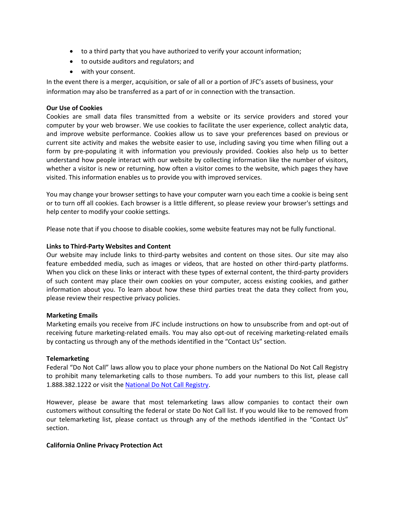- to a third party that you have authorized to verify your account information;
- to outside auditors and regulators; and
- with your consent.

In the event there is a merger, acquisition, or sale of all or a portion of JFC's assets of business, your information may also be transferred as a part of or in connection with the transaction.

# **Our Use of Cookies**

Cookies are small data files transmitted from a website or its service providers and stored your computer by your web browser. We use cookies to facilitate the user experience, collect analytic data, and improve website performance. Cookies allow us to save your preferences based on previous or current site activity and makes the website easier to use, including saving you time when filling out a form by pre-populating it with information you previously provided. Cookies also help us to better understand how people interact with our website by collecting information like the number of visitors, whether a visitor is new or returning, how often a visitor comes to the website, which pages they have visited. This information enables us to provide you with improved services.

You may change your browser settings to have your computer warn you each time a cookie is being sent or to turn off all cookies. Each browser is a little different, so please review your browser's settings and help center to modify your cookie settings.

Please note that if you choose to disable cookies, some website features may not be fully functional.

## **Links to Third-Party Websites and Content**

Our website may include links to third-party websites and content on those sites. Our site may also feature embedded media, such as images or videos, that are hosted on other third-party platforms. When you click on these links or interact with these types of external content, the third-party providers of such content may place their own cookies on your computer, access existing cookies, and gather information about you. To learn about how these third parties treat the data they collect from you, please review their respective privacy policies.

#### **Marketing Emails**

Marketing emails you receive from JFC include instructions on how to unsubscribe from and opt-out of receiving future marketing-related emails. You may also opt-out of receiving marketing-related emails by contacting us through any of the methods identified in the "Contact Us" section.

#### **Telemarketing**

Federal "Do Not Call" laws allow you to place your phone numbers on the National Do Not Call Registry to prohibit many telemarketing calls to those numbers. To add your numbers to this list, please call 1.888.382.1222 or visit the [National Do Not Call Registry.](http://www.donotcall.gov/)

However, please be aware that most telemarketing laws allow companies to contact their own customers without consulting the federal or state Do Not Call list. If you would like to be removed from our telemarketing list, please contact us through any of the methods identified in the "Contact Us" section.

#### **California Online Privacy Protection Act**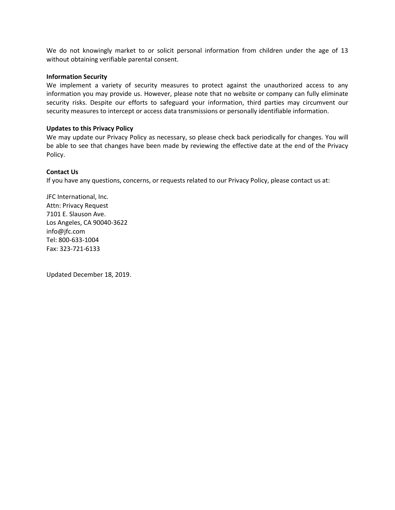We do not knowingly market to or solicit personal information from children under the age of 13 without obtaining verifiable parental consent.

#### **Information Security**

We implement a variety of security measures to protect against the unauthorized access to any information you may provide us. However, please note that no website or company can fully eliminate security risks. Despite our efforts to safeguard your information, third parties may circumvent our security measures to intercept or access data transmissions or personally identifiable information.

#### **Updates to this Privacy Policy**

We may update our Privacy Policy as necessary, so please check back periodically for changes. You will be able to see that changes have been made by reviewing the effective date at the end of the Privacy Policy.

#### **Contact Us**

If you have any questions, concerns, or requests related to our Privacy Policy, please contact us at:

JFC International, Inc. Attn: Privacy Request 7101 E. Slauson Ave. Los Angeles, CA 90040-3622 info@jfc.com Tel: 800-633-1004 Fax: 323-721-6133

Updated December 18, 2019.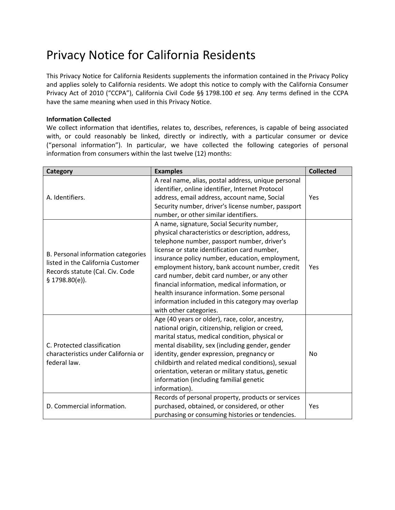# Privacy Notice for California Residents

This Privacy Notice for California Residents supplements the information contained in the Privacy Policy and applies solely to California residents. We adopt this notice to comply with the California Consumer Privacy Act of 2010 ("CCPA"), California Civil Code §§ 1798.100 *et seq.* Any terms defined in the CCPA have the same meaning when used in this Privacy Notice.

# **Information Collected**

We collect information that identifies, relates to, describes, references, is capable of being associated with, or could reasonably be linked, directly or indirectly, with a particular consumer or device ("personal information"). In particular, we have collected the following categories of personal information from consumers within the last twelve (12) months:

| Category                                                                                                                     | <b>Examples</b>                                                                                                                                                                                                                                                                                                                                                                                                                                                                                                                      | <b>Collected</b> |
|------------------------------------------------------------------------------------------------------------------------------|--------------------------------------------------------------------------------------------------------------------------------------------------------------------------------------------------------------------------------------------------------------------------------------------------------------------------------------------------------------------------------------------------------------------------------------------------------------------------------------------------------------------------------------|------------------|
| A. Identifiers.                                                                                                              | A real name, alias, postal address, unique personal<br>identifier, online identifier, Internet Protocol<br>address, email address, account name, Social<br>Security number, driver's license number, passport<br>number, or other similar identifiers.                                                                                                                                                                                                                                                                               | Yes              |
| B. Personal information categories<br>listed in the California Customer<br>Records statute (Cal. Civ. Code<br>§ 1798.80(e)). | A name, signature, Social Security number,<br>physical characteristics or description, address,<br>telephone number, passport number, driver's<br>license or state identification card number,<br>insurance policy number, education, employment,<br>employment history, bank account number, credit<br>card number, debit card number, or any other<br>financial information, medical information, or<br>health insurance information. Some personal<br>information included in this category may overlap<br>with other categories. | Yes              |
| C. Protected classification<br>characteristics under California or<br>federal law.                                           | Age (40 years or older), race, color, ancestry,<br>national origin, citizenship, religion or creed,<br>marital status, medical condition, physical or<br>mental disability, sex (including gender, gender<br>identity, gender expression, pregnancy or<br>childbirth and related medical conditions), sexual<br>orientation, veteran or military status, genetic<br>information (including familial genetic<br>information).                                                                                                         | <b>No</b>        |
| D. Commercial information.                                                                                                   | Records of personal property, products or services<br>purchased, obtained, or considered, or other<br>purchasing or consuming histories or tendencies.                                                                                                                                                                                                                                                                                                                                                                               | Yes              |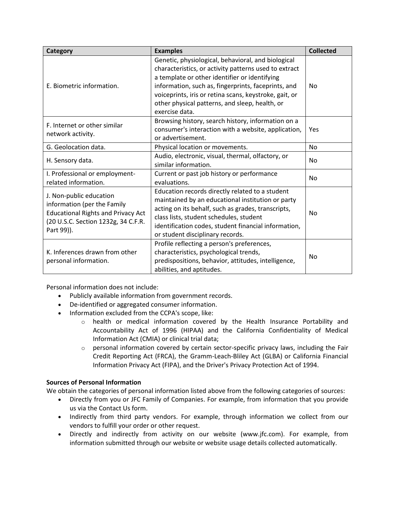| Category                                                                                                                                                 | <b>Examples</b>                                                                                                                                                                                                                                                                                                                                   | <b>Collected</b> |
|----------------------------------------------------------------------------------------------------------------------------------------------------------|---------------------------------------------------------------------------------------------------------------------------------------------------------------------------------------------------------------------------------------------------------------------------------------------------------------------------------------------------|------------------|
| E. Biometric information.                                                                                                                                | Genetic, physiological, behavioral, and biological<br>characteristics, or activity patterns used to extract<br>a template or other identifier or identifying<br>information, such as, fingerprints, faceprints, and<br>voiceprints, iris or retina scans, keystroke, gait, or<br>other physical patterns, and sleep, health, or<br>exercise data. | <b>No</b>        |
| F. Internet or other similar<br>network activity.                                                                                                        | Browsing history, search history, information on a<br>consumer's interaction with a website, application,<br>or advertisement.                                                                                                                                                                                                                    | Yes              |
| G. Geolocation data.                                                                                                                                     | Physical location or movements.                                                                                                                                                                                                                                                                                                                   | <b>No</b>        |
| H. Sensory data.                                                                                                                                         | Audio, electronic, visual, thermal, olfactory, or<br>similar information.                                                                                                                                                                                                                                                                         | No               |
| I. Professional or employment-<br>related information.                                                                                                   | Current or past job history or performance<br>evaluations.                                                                                                                                                                                                                                                                                        | <b>No</b>        |
| J. Non-public education<br>information (per the Family<br><b>Educational Rights and Privacy Act</b><br>(20 U.S.C. Section 1232g, 34 C.F.R.<br>Part 99)). | Education records directly related to a student<br>maintained by an educational institution or party<br>acting on its behalf, such as grades, transcripts,<br>class lists, student schedules, student<br>identification codes, student financial information,<br>or student disciplinary records.                                                 | <b>No</b>        |
| K. Inferences drawn from other<br>personal information.                                                                                                  | Profile reflecting a person's preferences,<br>characteristics, psychological trends,<br>predispositions, behavior, attitudes, intelligence,<br>abilities, and aptitudes.                                                                                                                                                                          | No               |

Personal information does not include:

- Publicly available information from government records.
- De-identified or aggregated consumer information.
- Information excluded from the CCPA's scope, like:
	- o health or medical information covered by the Health Insurance Portability and Accountability Act of 1996 (HIPAA) and the California Confidentiality of Medical Information Act (CMIA) or clinical trial data;
	- $\circ$  personal information covered by certain sector-specific privacy laws, including the Fair Credit Reporting Act (FRCA), the Gramm-Leach-Bliley Act (GLBA) or California Financial Information Privacy Act (FIPA), and the Driver's Privacy Protection Act of 1994.

# **Sources of Personal Information**

We obtain the categories of personal information listed above from the following categories of sources:

- Directly from you or JFC Family of Companies. For example, from information that you provide us via the Contact Us form.
- Indirectly from third party vendors. For example, through information we collect from our vendors to fulfill your order or other request.
- Directly and indirectly from activity on our website (www.jfc.com). For example, from information submitted through our website or website usage details collected automatically.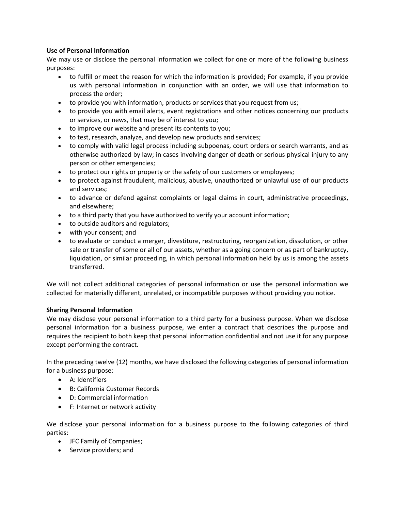# **Use of Personal Information**

We may use or disclose the personal information we collect for one or more of the following business purposes:

- to fulfill or meet the reason for which the information is provided; For example, if you provide us with personal information in conjunction with an order, we will use that information to process the order;
- to provide you with information, products or services that you request from us;
- to provide you with email alerts, event registrations and other notices concerning our products or services, or news, that may be of interest to you;
- to improve our website and present its contents to you;
- to test, research, analyze, and develop new products and services;
- to comply with valid legal process including subpoenas, court orders or search warrants, and as otherwise authorized by law; in cases involving danger of death or serious physical injury to any person or other emergencies;
- to protect our rights or property or the safety of our customers or employees;
- to protect against fraudulent, malicious, abusive, unauthorized or unlawful use of our products and services;
- to advance or defend against complaints or legal claims in court, administrative proceedings, and elsewhere;
- to a third party that you have authorized to verify your account information;
- to outside auditors and regulators;
- with your consent; and
- to evaluate or conduct a merger, divestiture, restructuring, reorganization, dissolution, or other sale or transfer of some or all of our assets, whether as a going concern or as part of bankruptcy, liquidation, or similar proceeding, in which personal information held by us is among the assets transferred.

We will not collect additional categories of personal information or use the personal information we collected for materially different, unrelated, or incompatible purposes without providing you notice.

# **Sharing Personal Information**

We may disclose your personal information to a third party for a business purpose. When we disclose personal information for a business purpose, we enter a contract that describes the purpose and requires the recipient to both keep that personal information confidential and not use it for any purpose except performing the contract.

In the preceding twelve (12) months, we have disclosed the following categories of personal information for a business purpose:

- A: Identifiers
- B: California Customer Records
- D: Commercial information
- F: Internet or network activity

We disclose your personal information for a business purpose to the following categories of third parties:

- JFC Family of Companies;
- Service providers; and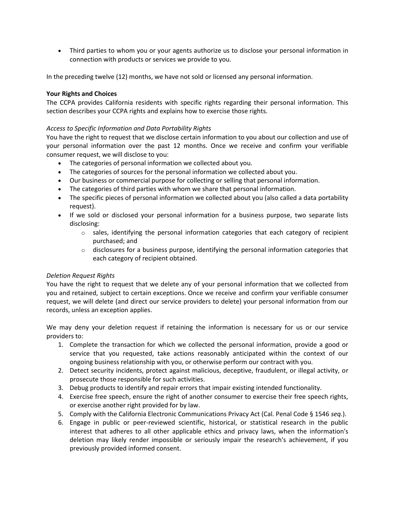Third parties to whom you or your agents authorize us to disclose your personal information in connection with products or services we provide to you.

In the preceding twelve (12) months, we have not sold or licensed any personal information.

# **Your Rights and Choices**

The CCPA provides California residents with specific rights regarding their personal information. This section describes your CCPA rights and explains how to exercise those rights.

# *Access to Specific Information and Data Portability Rights*

You have the right to request that we disclose certain information to you about our collection and use of your personal information over the past 12 months. Once we receive and confirm your verifiable consumer request, we will disclose to you:

- The categories of personal information we collected about you.
- The categories of sources for the personal information we collected about you.
- Our business or commercial purpose for collecting or selling that personal information.
- The categories of third parties with whom we share that personal information.
- The specific pieces of personal information we collected about you (also called a data portability request).
- If we sold or disclosed your personal information for a business purpose, two separate lists disclosing:
	- $\circ$  sales, identifying the personal information categories that each category of recipient purchased; and
	- $\circ$  disclosures for a business purpose, identifying the personal information categories that each category of recipient obtained.

# *Deletion Request Rights*

You have the right to request that we delete any of your personal information that we collected from you and retained, subject to certain exceptions. Once we receive and confirm your verifiable consumer request, we will delete (and direct our service providers to delete) your personal information from our records, unless an exception applies.

We may deny your deletion request if retaining the information is necessary for us or our service providers to:

- 1. Complete the transaction for which we collected the personal information, provide a good or service that you requested, take actions reasonably anticipated within the context of our ongoing business relationship with you, or otherwise perform our contract with you.
- 2. Detect security incidents, protect against malicious, deceptive, fraudulent, or illegal activity, or prosecute those responsible for such activities.
- 3. Debug products to identify and repair errors that impair existing intended functionality.
- 4. Exercise free speech, ensure the right of another consumer to exercise their free speech rights, or exercise another right provided for by law.
- 5. Comply with the California Electronic Communications Privacy Act (Cal. Penal Code § 1546 *seq.*).
- 6. Engage in public or peer-reviewed scientific, historical, or statistical research in the public interest that adheres to all other applicable ethics and privacy laws, when the information's deletion may likely render impossible or seriously impair the research's achievement, if you previously provided informed consent.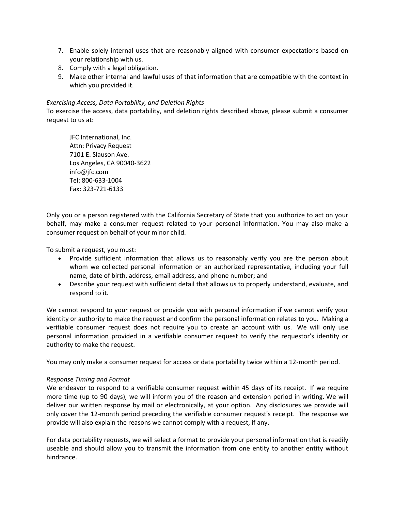- 7. Enable solely internal uses that are reasonably aligned with consumer expectations based on your relationship with us.
- 8. Comply with a legal obligation.
- 9. Make other internal and lawful uses of that information that are compatible with the context in which you provided it.

## *Exercising Access, Data Portability, and Deletion Rights*

To exercise the access, data portability, and deletion rights described above, please submit a consumer request to us at:

JFC International, Inc. Attn: Privacy Request 7101 E. Slauson Ave. Los Angeles, CA 90040-3622 info@jfc.com Tel: 800-633-1004 Fax: 323-721-6133

Only you or a person registered with the California Secretary of State that you authorize to act on your behalf, may make a consumer request related to your personal information. You may also make a consumer request on behalf of your minor child.

To submit a request, you must:

- Provide sufficient information that allows us to reasonably verify you are the person about whom we collected personal information or an authorized representative, including your full name, date of birth, address, email address, and phone number; and
- Describe your request with sufficient detail that allows us to properly understand, evaluate, and respond to it.

We cannot respond to your request or provide you with personal information if we cannot verify your identity or authority to make the request and confirm the personal information relates to you. Making a verifiable consumer request does not require you to create an account with us. We will only use personal information provided in a verifiable consumer request to verify the requestor's identity or authority to make the request.

You may only make a consumer request for access or data portability twice within a 12-month period.

#### *Response Timing and Format*

We endeavor to respond to a verifiable consumer request within 45 days of its receipt. If we require more time (up to 90 days), we will inform you of the reason and extension period in writing. We will deliver our written response by mail or electronically, at your option. Any disclosures we provide will only cover the 12-month period preceding the verifiable consumer request's receipt. The response we provide will also explain the reasons we cannot comply with a request, if any.

For data portability requests, we will select a format to provide your personal information that is readily useable and should allow you to transmit the information from one entity to another entity without hindrance.